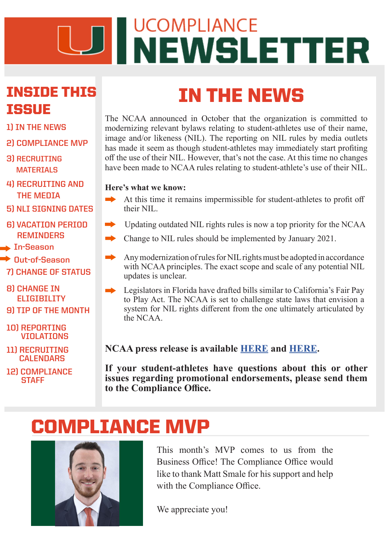# U NEWSLETTER

## INSIDE THIS **ISSUE**

- **1) IN THE NEWS**
- **2) COMPLIANCE MVP**
- **3) RECRUITING MATERIALS**
- **4) RECRUITING AND THE MEDIA**
- **5) NLI SIGNING DATES**
- **6) VACATION PERIOD REMINDERS**
- **In-Season**
- **7) CHANGE OF STATUS Out-of-Season**
- **8) CHANGE IN ELIGIBILITY**
- **9) TIP OF THE MONTH**
- **10) REPORTING VIOLATIONS**
- **11) RECRUITING CALENDARS**
- **12) COMPLIANCE STAFF**

## IN THE NEWS

The NCAA announced in October that the organization is committed to modernizing relevant bylaws relating to student-athletes use of their name, image and/or likeness (NIL). The reporting on NIL rules by media outlets has made it seem as though student-athletes may immediately start profiting off the use of their NIL. However, that's not the case. At this time no changes have been made to NCAA rules relating to student-athlete's use of their NIL.

#### **Here's what we know:**

- At this time it remains impermissible for student-athletes to profit off their NIL.
- Updating outdated NIL rights rules is now a top priority for the NCAA
- Change to NIL rules should be implemented by January 2021.
- Any modernization of rules for NIL rights must be adopted in accordance with NCAA principles. The exact scope and scale of any potential NIL updates is unclear.
- Legislators in Florida have drafted bills similar to California's Fair Pay to Play Act. The NCAA is set to challenge state laws that envision a system for NIL rights different from the one ultimately articulated by the NCAA.

**NCAA press release is available [HERE](http://www.ncaa.org/about/resources/media-center/news/board-governors-starts-process-enhance-name-image-and-likeness-opportunities) and [HERE.](http://www.ncaa.org/questions-and-answers-name-image-and-likeness)** 

**If your student-athletes have questions about this or other issues regarding promotional endorsements, please send them to the Compliance Office.**

## COMPLIANCE MVP



This month's MVP comes to us from the Business Office! The Compliance Office would like to thank Matt Smale for his support and help with the Compliance Office.

We appreciate you!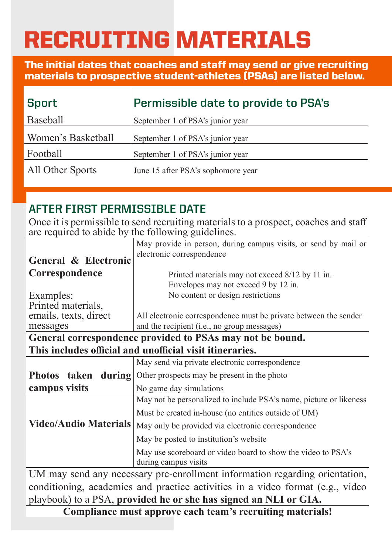# RECRUITING MATERIALS

The initial dates that coaches and staff may send or give recruiting materials to prospective student-athletes (PSAs) are listed below.

| <b>Sport</b>       | Permissible date to provide to PSA's |
|--------------------|--------------------------------------|
| Baseball           | September 1 of PSA's junior year     |
| Women's Basketball | September 1 of PSA's junior year     |
| Football           | September 1 of PSA's junior year     |
| All Other Sports   | June 15 after PSA's sophomore year   |

#### **AFTER FIRST PERMISSIBLE DATE**

 $\top$ 

Once it is permissible to send recruiting materials to a prospect, coaches and staff are required to abide by the following guidelines.

|                                 | May provide in person, during campus visits, or send by mail or                      |  |  |  |  |  |
|---------------------------------|--------------------------------------------------------------------------------------|--|--|--|--|--|
|                                 | electronic correspondence                                                            |  |  |  |  |  |
| <b>General &amp; Electronic</b> |                                                                                      |  |  |  |  |  |
| Correspondence                  | Printed materials may not exceed 8/12 by 11 in.                                      |  |  |  |  |  |
|                                 | Envelopes may not exceed 9 by 12 in.                                                 |  |  |  |  |  |
| Examples:                       | No content or design restrictions                                                    |  |  |  |  |  |
| Printed materials,              |                                                                                      |  |  |  |  |  |
| emails, texts, direct           | All electronic correspondence must be private between the sender                     |  |  |  |  |  |
| messages                        | and the recipient (i.e., no group messages)                                          |  |  |  |  |  |
|                                 | General correspondence provided to PSAs may not be bound.                            |  |  |  |  |  |
|                                 | This includes official and unofficial visit itineraries.                             |  |  |  |  |  |
|                                 | May send via private electronic correspondence                                       |  |  |  |  |  |
| taken during<br><b>Photos</b>   | Other prospects may be present in the photo                                          |  |  |  |  |  |
| campus visits                   | No game day simulations                                                              |  |  |  |  |  |
|                                 | May not be personalized to include PSA's name, picture or likeness                   |  |  |  |  |  |
|                                 | Must be created in-house (no entities outside of UM)                                 |  |  |  |  |  |
| <b>Video/Audio Materials</b>    | May only be provided via electronic correspondence                                   |  |  |  |  |  |
|                                 | May be posted to institution's website                                               |  |  |  |  |  |
|                                 | May use scoreboard or video board to show the video to PSA's<br>during campus visits |  |  |  |  |  |
|                                 | UM may send any necessary pre-enrollment information regarding orientation,          |  |  |  |  |  |

conditioning, academics and practice activities in a video format (e.g., video playbook) to a PSA, **provided he or she has signed an NLI or GIA.** 

**Compliance must approve each team's recruiting materials!**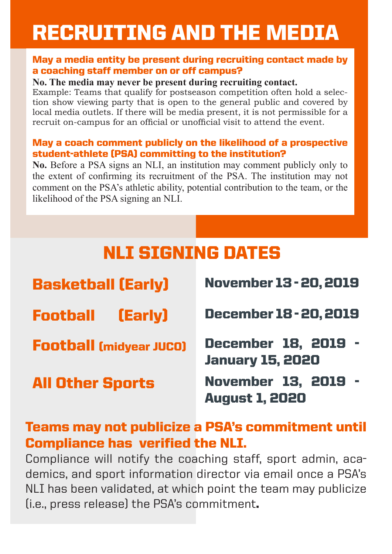# RECRUITING AND THE MEDIA

#### May a media entity be present during recruiting contact made by a coaching staff member on or off campus?

#### **No. The media may never be present during recruiting contact.**

Example: Teams that qualify for postseason competition often hold a selection show viewing party that is open to the general public and covered by local media outlets. If there will be media present, it is not permissible for a recruit on-campus for an official or unofficial visit to attend the event.

#### May a coach comment publicly on the likelihood of a prospective student-athlete (PSA) committing to the institution?

**No.** Before a PSA signs an NLI, an institution may comment publicly only to the extent of confirming its recruitment of the PSA. The institution may not comment on the PSA's athletic ability, potential contribution to the team, or the likelihood of the PSA signing an NLI.

## NLI SIGNING DATES

| <b>Basketball (Early)</b>      | <b>November 13 - 20, 2019</b>                  |  |  |  |
|--------------------------------|------------------------------------------------|--|--|--|
| <b>Football (Early)</b>        | <b>December 18 - 20, 2019</b>                  |  |  |  |
| <b>Football (midyear JUCO)</b> | December 18, 2019 -<br><b>January 15, 2020</b> |  |  |  |
| <b>All Other Sports</b>        | November 13, 2019 -<br><b>August 1, 2020</b>   |  |  |  |

### Teams may not publicize a PSA's commitment until Compliance has verified the NLI.

Compliance will notify the coaching staff, sport admin, academics, and sport information director via email once a PSA's NLI has been validated, at which point the team may publicize (i.e., press release) the PSA's commitment.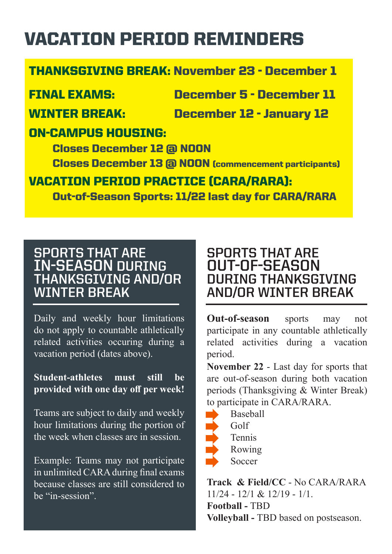## VACATION PERIOD REMINDERS

#### THANKSGIVING BREAK: November 23 - December 1

FINAL EXAMS: December 5 - December 11

WINTER BREAK: December 12 - January 12

#### ON-CAMPUS HOUSING:

Closes December 12 @ NOON

Closes December 13 @ NOON (commencement participants)

#### VACATION PERIOD PRACTICE (CARA/RARA):

Out-of-Season Sports: 11/22 last day for CARA/RARA

#### **SPORTS THAT ARE IN-SEASON DURING THANKSGIVING AND/OR WINTER BREAK**

Daily and weekly hour limitations do not apply to countable athletically related activities occuring during a vacation period (dates above).

#### **Student-athletes must still be provided with one day off per week!**

Teams are subject to daily and weekly hour limitations during the portion of the week when classes are in session.

Example: Teams may not participate in unlimited CARA during final exams because classes are still considered to be "in-session".

#### **SPORTS THAT ARE OUT-OF-SEASON DURING THANKSGIVING AND/OR WINTER BREAK**

**Out-of-season** sports may not participate in any countable athletically related activities during a vacation period.

**November 22** - Last day for sports that are out-of-season during both vacation periods (Thanksgiving & Winter Break) to participate in CARA/RARA.

| Baseball |
|----------|
| Golf     |
| Tennis   |
| Rowing   |
|          |

 $is$  $ing$ Soccer

**Track & Field/CC** - No CARA/RARA 11/24 - 12/1 & 12/19 - 1/1. **Football -** TBD **Volleyball -** TBD based on postseason.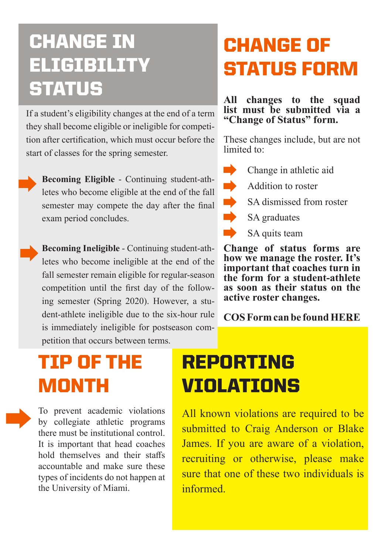## CHANGE IN ELIGIBILITY **STATUS**

If a student's eligibility changes at the end of a term they shall become eligible or ineligible for competition after certification, which must occur before the start of classes for the spring semester.



**Becoming Eligible** - Continuing student-athletes who become eligible at the end of the fall semester may compete the day after the final exam period concludes.

**Becoming Ineligible** - Continuing student-athletes who become ineligible at the end of the fall semester remain eligible for regular-season competition until the first day of the following semester (Spring 2020). However, a student-athlete ineligible due to the six-hour rule is immediately ineligible for postseason competition that occurs between terms.

## TIP OF THE MONTH

To prevent academic violations by collegiate athletic programs there must be institutional control. It is important that head coaches hold themselves and their staffs accountable and make sure these types of incidents do not happen at the University of Miami.

# CHANGE OF STATUS FORM

#### **All changes to the squad list must be submitted via a "Change of Status" form.**

These changes include, but are not limited to:



- Change in athletic aid
- Addition to roster
- SA dismissed from roster



- SA graduates
- SA quits team

**Change of status forms are how we manage the roster. It's important that coaches turn in the form for a student-athlete as soon as their status on the active roster changes.** 

**COS Form can be found [HERE](https://hurricanesports.com/documents/2019/9/25//Change_of_Status_Form.pdf?id=22914)**

# REPORTING VIOLATIONS

All known violations are required to be submitted to Craig Anderson or Blake James. If you are aware of a violation, recruiting or otherwise, please make sure that one of these two individuals is informed.